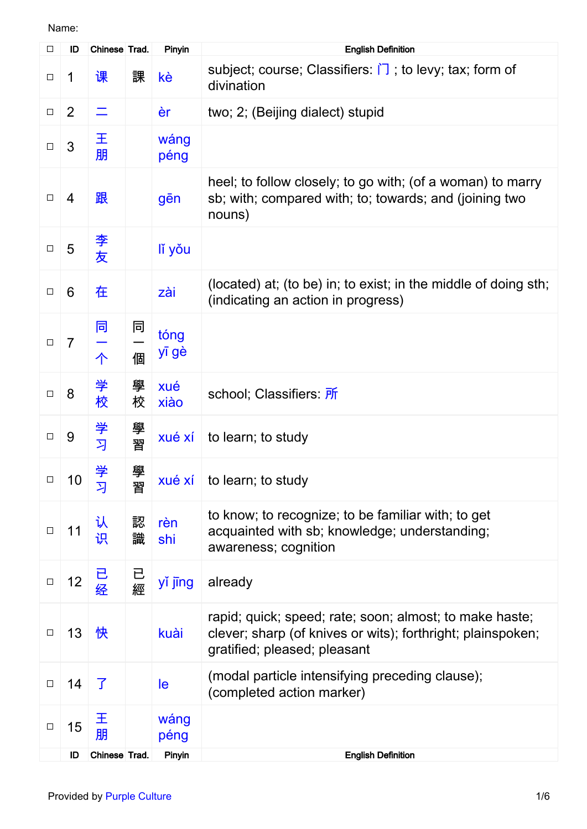| $\Box$ | ID             | Chinese Trad. |        | Pinyin        | <b>English Definition</b>                                                                                                                              |
|--------|----------------|---------------|--------|---------------|--------------------------------------------------------------------------------------------------------------------------------------------------------|
| $\Box$ | 1              | 课             | 課      | kè            | subject; course; Classifiers: $\Box$ ; to levy; tax; form of<br>divination                                                                             |
| $\Box$ | $\overline{2}$ |               |        | èr            | two; 2; (Beijing dialect) stupid                                                                                                                       |
| $\Box$ | 3              | 王<br>朋        |        | wáng<br>péng  |                                                                                                                                                        |
| $\Box$ | 4              | 跟             |        | gēn           | heel; to follow closely; to go with; (of a woman) to marry<br>sb; with; compared with; to; towards; and (joining two<br>nouns)                         |
| $\Box$ | 5              | 李友            |        | lí yǒu        |                                                                                                                                                        |
| $\Box$ | 6              | 在             |        | zài           | (located) at; (to be) in; to exist; in the middle of doing sth;<br>(indicating an action in progress)                                                  |
| $\Box$ | $\overline{7}$ | 同<br>个        | 同<br>個 | tóng<br>yī gè |                                                                                                                                                        |
| $\Box$ | 8              | 学<br>校        | 學<br>校 | xué<br>xiào   | school; Classifiers: 所                                                                                                                                 |
| $\Box$ | 9              | 学<br>习        | 學<br>習 | xué xí        | to learn; to study                                                                                                                                     |
| □      | 10             | 学<br>习        | 學<br>習 |               | $xu\acute{\text{e}}$ xí to learn; to study                                                                                                             |
| $\Box$ | 11             | 认<br>识        | 認<br>識 | rèn<br>shi    | to know; to recognize; to be familiar with; to get<br>acquainted with sb; knowledge; understanding;<br>awareness; cognition                            |
| $\Box$ | 12             | 已<br>经        | 已經     | yǐ jīng       | already                                                                                                                                                |
| $\Box$ | 13             | 快             |        | kuài          | rapid; quick; speed; rate; soon; almost; to make haste;<br>clever; sharp (of knives or wits); forthright; plainspoken;<br>gratified; pleased; pleasant |
| $\Box$ | 14             | 了             |        | le            | (modal particle intensifying preceding clause);<br>(completed action marker)                                                                           |
| $\Box$ | 15             | 王<br>朋        |        | wáng<br>péng  |                                                                                                                                                        |
|        | ID             | Chinese Trad. |        | Pinyin        | <b>English Definition</b>                                                                                                                              |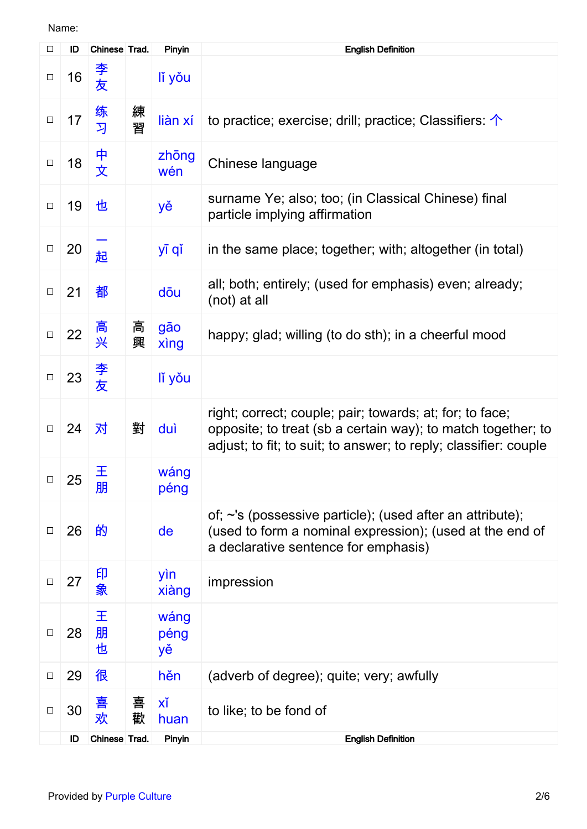| $\Box$ | ID | Chinese Trad. |        | Pinyin             | <b>English Definition</b>                                                                                                                                                                    |
|--------|----|---------------|--------|--------------------|----------------------------------------------------------------------------------------------------------------------------------------------------------------------------------------------|
| $\Box$ | 16 | 李友            |        | lí yǒu             |                                                                                                                                                                                              |
| $\Box$ | 17 | 练<br>习        | 練<br>習 | liàn xí            | to practice; exercise; drill; practice; Classifiers: $\uparrow$                                                                                                                              |
| $\Box$ | 18 | 中<br>文        |        | zhong<br>wén       | Chinese language                                                                                                                                                                             |
| $\Box$ | 19 | 也             |        | yě                 | surname Ye; also; too; (in Classical Chinese) final<br>particle implying affirmation                                                                                                         |
| $\Box$ | 20 | 起             |        | yī qǐ              | in the same place; together; with; altogether (in total)                                                                                                                                     |
| $\Box$ | 21 | 都             |        | dōu                | all; both; entirely; (used for emphasis) even; already;<br>(not) at all                                                                                                                      |
| $\Box$ | 22 | 高<br>兴        | 高<br>興 | gāo<br>xing        | happy; glad; willing (to do sth); in a cheerful mood                                                                                                                                         |
| $\Box$ | 23 | 李友            |        | lí yǒu             |                                                                                                                                                                                              |
| $\Box$ | 24 | 对             | 對      | duì                | right; correct; couple; pair; towards; at; for; to face;<br>opposite; to treat (sb a certain way); to match together; to<br>adjust; to fit; to suit; to answer; to reply; classifier: couple |
| $\Box$ | 25 | 王<br>朋        |        | wáng<br>péng       |                                                                                                                                                                                              |
| $\Box$ | 26 | 的             |        | de                 | of; ~'s (possessive particle); (used after an attribute);<br>(used to form a nominal expression); (used at the end of<br>a declarative sentence for emphasis)                                |
| $\Box$ | 27 | 印<br>象        |        | yìn<br>xiàng       | impression                                                                                                                                                                                   |
| $\Box$ | 28 | 王<br>朋<br>也   |        | wáng<br>péng<br>yě |                                                                                                                                                                                              |
| $\Box$ | 29 | 很             |        | hěn                | (adverb of degree); quite; very; awfully                                                                                                                                                     |
| $\Box$ | 30 | 喜<br>欢        | 喜<br>歡 | xĭ<br>huan         | to like; to be fond of                                                                                                                                                                       |
|        | ID | Chinese Trad. |        | Pinyin             | <b>English Definition</b>                                                                                                                                                                    |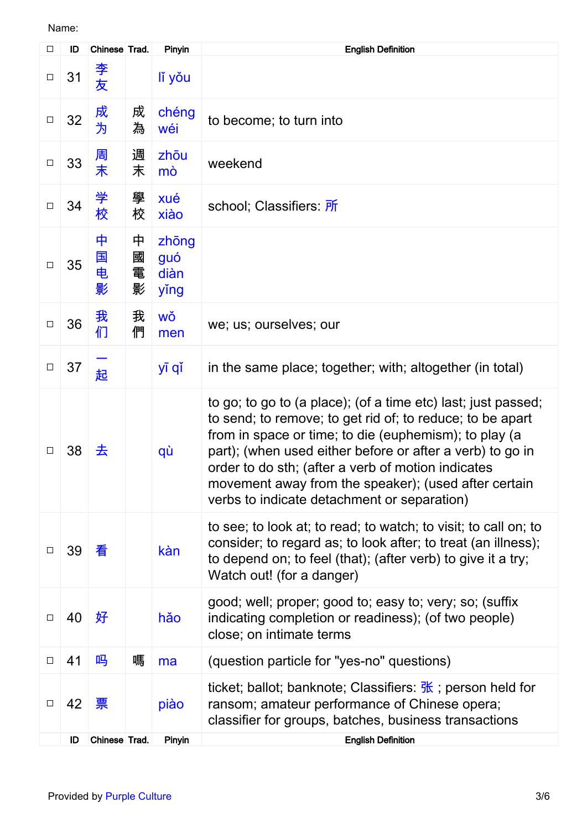| □      | ID | Chinese Trad.    |                  | Pinyin                       | <b>English Definition</b>                                                                                                                                                                                                                                                                                                                                                                                     |
|--------|----|------------------|------------------|------------------------------|---------------------------------------------------------------------------------------------------------------------------------------------------------------------------------------------------------------------------------------------------------------------------------------------------------------------------------------------------------------------------------------------------------------|
| $\Box$ | 31 | 李<br>友           |                  | lí yǒu                       |                                                                                                                                                                                                                                                                                                                                                                                                               |
| $\Box$ | 32 | 成<br>为           | 成<br>為           | chéng<br>wéi                 | to become; to turn into                                                                                                                                                                                                                                                                                                                                                                                       |
| $\Box$ | 33 | 周<br>末           | 週<br>末           | zhōu<br>mò                   | weekend                                                                                                                                                                                                                                                                                                                                                                                                       |
| $\Box$ | 34 | 学<br>校           | 學<br>校           | xué<br>xiào                  | school; Classifiers: 所                                                                                                                                                                                                                                                                                                                                                                                        |
| $\Box$ | 35 | 中<br>国<br>电<br>影 | 中<br>國<br>電<br>影 | zhōng<br>guó<br>diàn<br>ying |                                                                                                                                                                                                                                                                                                                                                                                                               |
| $\Box$ | 36 | 我<br>们           | 我<br>們           | WŎ<br>men                    | we; us; ourselves; our                                                                                                                                                                                                                                                                                                                                                                                        |
| $\Box$ | 37 | 起                |                  | yī qǐ                        | in the same place; together; with; altogether (in total)                                                                                                                                                                                                                                                                                                                                                      |
| $\Box$ | 38 | 去                |                  | qù                           | to go; to go to (a place); (of a time etc) last; just passed;<br>to send; to remove; to get rid of; to reduce; to be apart<br>from in space or time; to die (euphemism); to play (a<br>part); (when used either before or after a verb) to go in<br>order to do sth; (after a verb of motion indicates<br>movement away from the speaker); (used after certain<br>verbs to indicate detachment or separation) |
| $\Box$ | 39 | 看                |                  | kàn                          | to see; to look at; to read; to watch; to visit; to call on; to<br>consider; to regard as; to look after; to treat (an illness);<br>to depend on; to feel (that); (after verb) to give it a try;<br>Watch out! (for a danger)                                                                                                                                                                                 |
| $\Box$ | 40 | 好                |                  | hǎo                          | good; well; proper; good to; easy to; very; so; (suffix<br>indicating completion or readiness); (of two people)<br>close; on intimate terms                                                                                                                                                                                                                                                                   |
| $\Box$ | 41 | 吗                | 嗎                | ma                           | (question particle for "yes-no" questions)                                                                                                                                                                                                                                                                                                                                                                    |
| $\Box$ | 42 | 票                |                  | piào                         | ticket; ballot; banknote; Classifiers: $\frac{R}{N}$ ; person held for<br>ransom; amateur performance of Chinese opera;<br>classifier for groups, batches, business transactions                                                                                                                                                                                                                              |
|        | ID | Chinese Trad.    |                  | Pinyin                       | <b>English Definition</b>                                                                                                                                                                                                                                                                                                                                                                                     |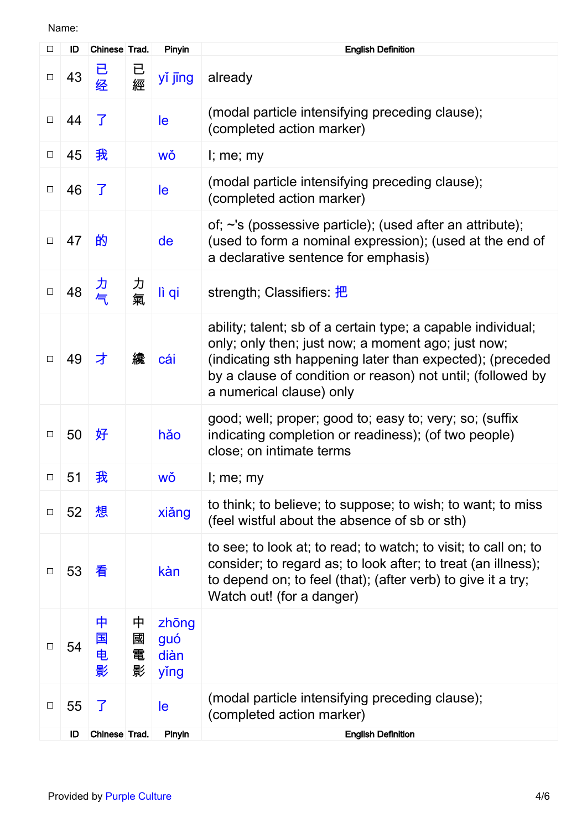| □      | ID | Chinese Trad.    |                  | Pinyin                       | <b>English Definition</b>                                                                                                                                                                                                                                                  |
|--------|----|------------------|------------------|------------------------------|----------------------------------------------------------------------------------------------------------------------------------------------------------------------------------------------------------------------------------------------------------------------------|
| $\Box$ | 43 | 已<br>经           | 已<br>經           | yǐ jīng                      | already                                                                                                                                                                                                                                                                    |
| $\Box$ | 44 | 了                |                  | le                           | (modal particle intensifying preceding clause);<br>(completed action marker)                                                                                                                                                                                               |
| $\Box$ | 45 | 我                |                  | wǒ                           | $l$ ; me; my                                                                                                                                                                                                                                                               |
| $\Box$ | 46 | 了                |                  | le                           | (modal particle intensifying preceding clause);<br>(completed action marker)                                                                                                                                                                                               |
| $\Box$ | 47 | 的                |                  | de                           | of; ~'s (possessive particle); (used after an attribute);<br>(used to form a nominal expression); (used at the end of<br>a declarative sentence for emphasis)                                                                                                              |
| $\Box$ | 48 | 力<br>气           | 力氣               | lì qi                        | strength; Classifiers: 把                                                                                                                                                                                                                                                   |
| $\Box$ | 49 | 才                | 纔                | cái                          | ability; talent; sb of a certain type; a capable individual;<br>only; only then; just now; a moment ago; just now;<br>(indicating sth happening later than expected); (preceded<br>by a clause of condition or reason) not until; (followed by<br>a numerical clause) only |
| $\Box$ | 50 | 好                |                  | hǎo                          | good; well; proper; good to; easy to; very; so; (suffix<br>indicating completion or readiness); (of two people)<br>close; on intimate terms                                                                                                                                |
| $\Box$ | 51 | 我                |                  | WŎ                           | I; me; my                                                                                                                                                                                                                                                                  |
| $\Box$ | 52 | 想                |                  | xiǎng                        | to think; to believe; to suppose; to wish; to want; to miss<br>(feel wistful about the absence of sb or sth)                                                                                                                                                               |
| $\Box$ | 53 | 看                |                  | kàn                          | to see; to look at; to read; to watch; to visit; to call on; to<br>consider; to regard as; to look after; to treat (an illness);<br>to depend on; to feel (that); (after verb) to give it a try;<br>Watch out! (for a danger)                                              |
| $\Box$ | 54 | 中<br>国<br>电<br>影 | 中<br>國<br>電<br>影 | zhōng<br>guó<br>diàn<br>ying |                                                                                                                                                                                                                                                                            |
| $\Box$ | 55 | 了                |                  | le                           | (modal particle intensifying preceding clause);<br>(completed action marker)                                                                                                                                                                                               |
|        | ID | Chinese Trad.    |                  | Pinyin                       | <b>English Definition</b>                                                                                                                                                                                                                                                  |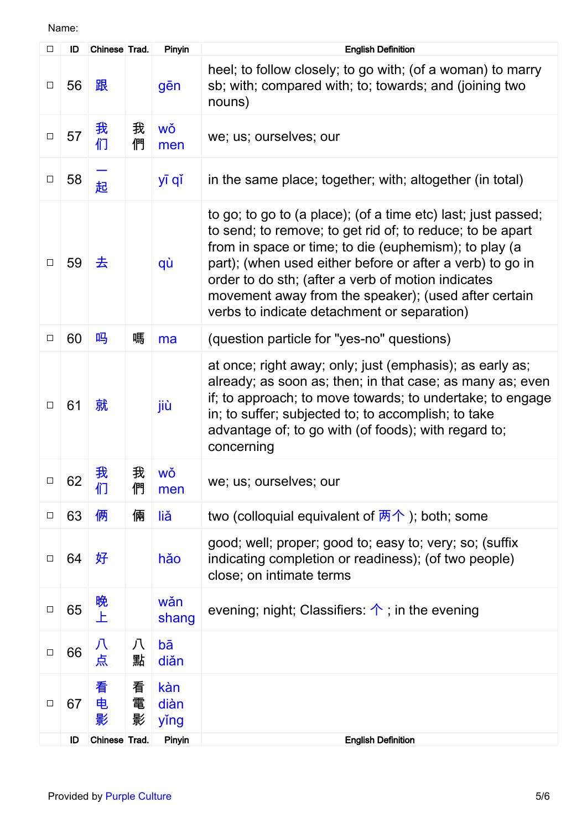| $\Box$ | ID | Chinese Trad. |             | Pinyin              | <b>English Definition</b>                                                                                                                                                                                                                                                                                                                                                                                     |
|--------|----|---------------|-------------|---------------------|---------------------------------------------------------------------------------------------------------------------------------------------------------------------------------------------------------------------------------------------------------------------------------------------------------------------------------------------------------------------------------------------------------------|
| $\Box$ | 56 | 跟             |             | gēn                 | heel; to follow closely; to go with; (of a woman) to marry<br>sb; with; compared with; to; towards; and (joining two<br>nouns)                                                                                                                                                                                                                                                                                |
| $\Box$ | 57 | 我<br>们        | 我<br>們      | wǒ<br>men           | we; us; ourselves; our                                                                                                                                                                                                                                                                                                                                                                                        |
| $\Box$ | 58 | 起             |             | yī qǐ               | in the same place; together; with; altogether (in total)                                                                                                                                                                                                                                                                                                                                                      |
| $\Box$ | 59 | 去             |             | qù                  | to go; to go to (a place); (of a time etc) last; just passed;<br>to send; to remove; to get rid of; to reduce; to be apart<br>from in space or time; to die (euphemism); to play (a<br>part); (when used either before or after a verb) to go in<br>order to do sth; (after a verb of motion indicates<br>movement away from the speaker); (used after certain<br>verbs to indicate detachment or separation) |
| $\Box$ | 60 | 吗             | 嗎           | ma                  | (question particle for "yes-no" questions)                                                                                                                                                                                                                                                                                                                                                                    |
| $\Box$ | 61 | 就             |             | jiù                 | at once; right away; only; just (emphasis); as early as;<br>already; as soon as; then; in that case; as many as; even<br>if; to approach; to move towards; to undertake; to engage<br>in; to suffer; subjected to; to accomplish; to take<br>advantage of; to go with (of foods); with regard to;<br>concerning                                                                                               |
| $\Box$ | 62 | 我<br>们        | 我<br>們      | WŎ<br>men           | we; us; ourselves; our                                                                                                                                                                                                                                                                                                                                                                                        |
| $\Box$ | 63 | 俩             | 倆           | liǎ                 | two (colloquial equivalent of $\overline{m}\uparrow$ ); both; some                                                                                                                                                                                                                                                                                                                                            |
| $\Box$ | 64 | 好             |             | hǎo                 | good; well; proper; good to; easy to; very; so; (suffix<br>indicating completion or readiness); (of two people)<br>close; on intimate terms                                                                                                                                                                                                                                                                   |
| $\Box$ | 65 | 晚<br>上        |             | wǎn<br>shang        | evening; night; Classifiers: $\uparrow$ ; in the evening                                                                                                                                                                                                                                                                                                                                                      |
| $\Box$ | 66 | 八<br>点        | 八<br>點      | bā<br>diǎn          |                                                                                                                                                                                                                                                                                                                                                                                                               |
| $\Box$ | 67 | 看<br>电<br>影   | 看<br>電<br>影 | kàn<br>diàn<br>ying |                                                                                                                                                                                                                                                                                                                                                                                                               |
|        | ID | Chinese Trad. |             | Pinyin              | <b>English Definition</b>                                                                                                                                                                                                                                                                                                                                                                                     |